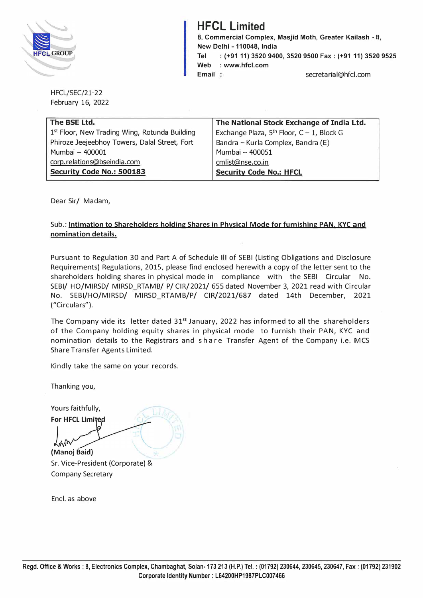

## **HFCL Limited**

**8, Commercial Complex, Masjid Moth, Greater Kailash - II, New Delhi -110048, India Tel : (+91 11) 3520 9400, 3520 9500 Fax: (+91 11) 3520 9525 Web : www.hfcl.com Email** secretarial@hfcl.com

HFCL/SEC/21-22 February 16, 2022

| The BSE Ltd.                                  | The National Stock Exchange of India Ltd.      |  |
|-----------------------------------------------|------------------------------------------------|--|
| 1st Floor, New Trading Wing, Rotunda Building | Exchange Plaza, $5th$ Floor, $C - 1$ , Block G |  |
| Phiroze Jeejeebhoy Towers, Dalal Street, Fort | Bandra - Kurla Complex, Bandra (E)             |  |
| Mumbai - 400001                               | Mumbai - 400051                                |  |
| corp.relations@bseindia.com                   | cmlist@nse.co.in                               |  |
| Security Code No.: 500183                     | <b>Security Code No.: HFCL</b>                 |  |
|                                               |                                                |  |

Dear Sir/ Madam,

## Sub.: **Intimation to Shareholders holding Shares in Physical Mode for furnishing PAN, KYC and nomination details.**

Pursuant to Regulation 30 and Part A of Schedule Ill of SEBI {Listing Obligations and Disclosure Requirements) Regulations, 2015, please find enclosed herewith a copy of the letter sent to the shareholders holding shares in physical mode in compliance with the SEBI Circular No. SEBI/ HO/MIRSD/ MIRSD\_RTAMB/ P/ CIR/2021/ 655 dated November 3, 2021 read with Circular No. SEBI/HO/MIRSD/ MIRSD\_RTAMB/P/ CIR/2021/687 dated 14th December, 2021 ("Circulars").

The Company vide its letter dated 31<sup>st</sup> January, 2022 has informed to all the shareholders of the Company holding equity shares in physical mode to furnish their PAN, KYC and nomination details to the Registrars and share Transfer Agent of the Company i.e. MCS Share Transfer Agents Limited.

Kindly take the same on your records.

Thanking you,

Yours faithfully, **For HFCL Limited** 

**1**<br>(Manoj Baid) Sr. Vice-President (Corporate) & Company Secretary

Encl. as above